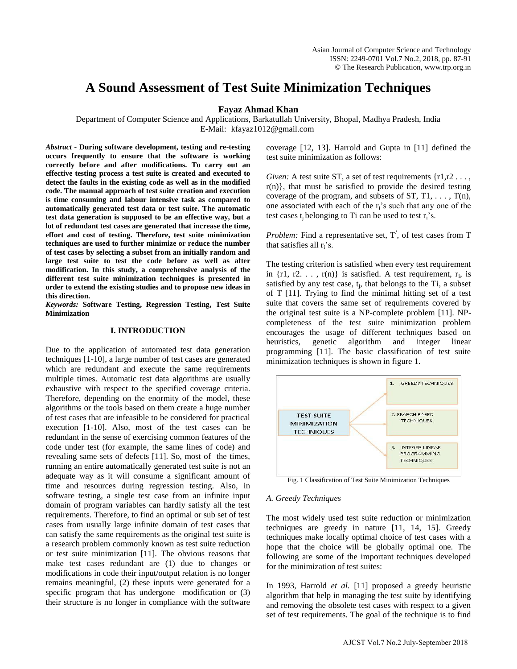# **A Sound Assessment of Test Suite Minimization Techniques**

## **Fayaz Ahmad Khan**

Department of Computer Science and Applications, Barkatullah University, Bhopal, Madhya Pradesh, India E-Mail: kfayaz1012@gmail.com

*Abstract* **- During software development, testing and re-testing occurs frequently to ensure that the software is working correctly before and after modifications. To carry out an effective testing process a test suite is created and executed to detect the faults in the existing code as well as in the modified code. The manual approach of test suite creation and execution is time consuming and labour intensive task as compared to automatically generated test data or test suite. The automatic test data generation is supposed to be an effective way, but a lot of redundant test cases are generated that increase the time, effort and cost of testing. Therefore, test suite minimization techniques are used to further minimize or reduce the number of test cases by selecting a subset from an initially random and large test suite to test the code before as well as after modification. In this study, a comprehensive analysis of the different test suite minimization techniques is presented in order to extend the existing studies and to propose new ideas in this direction.** 

*Keywords:* **Software Testing, Regression Testing, Test Suite Minimization** 

### **I. INTRODUCTION**

Due to the application of automated test data generation techniques [1-10], a large number of test cases are generated which are redundant and execute the same requirements multiple times. Automatic test data algorithms are usually exhaustive with respect to the specified coverage criteria. Therefore, depending on the enormity of the model, these algorithms or the tools based on them create a huge number of test cases that are infeasible to be considered for practical execution [1-10]. Also, most of the test cases can be redundant in the sense of exercising common features of the code under test (for example, the same lines of code) and revealing same sets of defects [11]. So, most of the times, running an entire automatically generated test suite is not an adequate way as it will consume a significant amount of time and resources during regression testing. Also, in software testing, a single test case from an infinite input domain of program variables can hardly satisfy all the test requirements. Therefore, to find an optimal or sub set of test cases from usually large infinite domain of test cases that can satisfy the same requirements as the original test suite is a research problem commonly known as test suite reduction or test suite minimization [11]. The obvious reasons that make test cases redundant are (1) due to changes or modifications in code their input/output relation is no longer remains meaningful, (2) these inputs were generated for a specific program that has undergone modification or  $(3)$ their structure is no longer in compliance with the software

coverage [12, 13]. Harrold and Gupta in [11] defined the test suite minimization as follows:

*Given:* A test suite ST, a set of test requirements  $\{r1, r2 \ldots, r2\}$  $r(n)$ , that must be satisfied to provide the desired testing coverage of the program, and subsets of  $ST, T1, \ldots, T(n)$ , one associated with each of the  $r_i$ 's such that any one of the test cases  $t_i$  belonging to Ti can be used to test  $r_i$ 's.

*Problem:* Find a representative set, T**/** , of test cases from T that satisfies all  $r_i$ 's.

The testing criterion is satisfied when every test requirement in  $\{r1, r2, \ldots, r(n)\}\$ is satisfied. A test requirement,  $r_i$ , is satisfied by any test case,  $t_j$ , that belongs to the Ti, a subset of T [11]. Trying to find the minimal hitting set of a test suite that covers the same set of requirements covered by the original test suite is a NP-complete problem [11]. NPcompleteness of the test suite minimization problem encourages the usage of different techniques based on heuristics, genetic algorithm and integer linear programming [11]. The basic classification of test suite minimization techniques is shown in figure 1.



Fig. 1 Classification of Test Suite Minimization Techniques

#### *A. Greedy Techniques*

The most widely used test suite reduction or minimization techniques are greedy in nature [11, 14, 15]. Greedy techniques make locally optimal choice of test cases with a hope that the choice will be globally optimal one. The following are some of the important techniques developed for the minimization of test suites:

In 1993, Harrold *et al.* [11] proposed a greedy heuristic algorithm that help in managing the test suite by identifying and removing the obsolete test cases with respect to a given set of test requirements. The goal of the technique is to find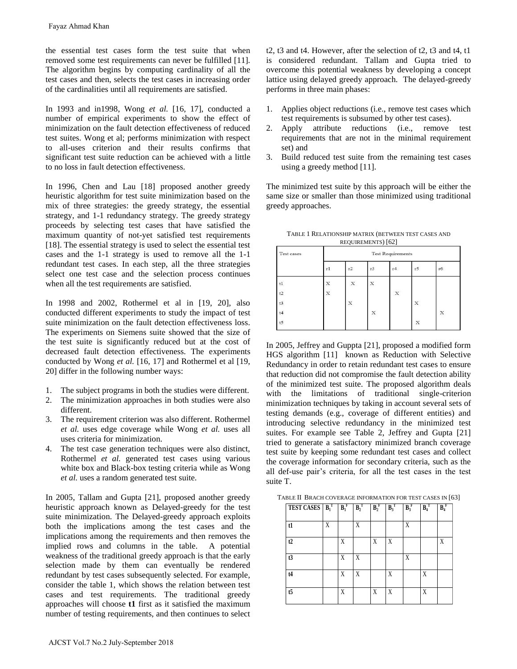the essential test cases form the test suite that when removed some test requirements can never be fulfilled [11]. The algorithm begins by computing cardinality of all the test cases and then, selects the test cases in increasing order of the cardinalities until all requirements are satisfied.

In 1993 and in1998, Wong *et al.* [16, 17], conducted a number of empirical experiments to show the effect of minimization on the fault detection effectiveness of reduced test suites. Wong et al; performs minimization with respect to all-uses criterion and their results confirms that significant test suite reduction can be achieved with a little to no loss in fault detection effectiveness.

In 1996, Chen and Lau [18] proposed another greedy heuristic algorithm for test suite minimization based on the mix of three strategies: the greedy strategy, the essential strategy, and 1-1 redundancy strategy. The greedy strategy proceeds by selecting test cases that have satisfied the maximum quantity of not-yet satisfied test requirements [18]. The essential strategy is used to select the essential test cases and the 1-1 strategy is used to remove all the 1-1 redundant test cases. In each step, all the three strategies select one test case and the selection process continues when all the test requirements are satisfied.

In 1998 and 2002, Rothermel et al in [19, 20], also conducted different experiments to study the impact of test suite minimization on the fault detection effectiveness loss. The experiments on Siemens suite showed that the size of the test suite is significantly reduced but at the cost of decreased fault detection effectiveness. The experiments conducted by Wong *et al.* [16, 17] and Rothermel et al [19, 20] differ in the following number ways:

- 1. The subject programs in both the studies were different.
- 2. The minimization approaches in both studies were also different.
- 3. The requirement criterion was also different. Rothermel *et al.* uses edge coverage while Wong *et al.* uses all uses criteria for minimization.
- 4. The test case generation techniques were also distinct, Rothermel *et al.* generated test cases using various white box and Black-box testing criteria while as Wong *et al.* uses a random generated test suite.

In 2005, Tallam and Gupta [21], proposed another greedy heuristic approach known as Delayed-greedy for the test suite minimization. The Delayed-greedy approach exploits both the implications among the test cases and the implications among the requirements and then removes the implied rows and columns in the table. A potential weakness of the traditional greedy approach is that the early selection made by them can eventually be rendered redundant by test cases subsequently selected. For example, consider the table 1, which shows the relation between test cases and test requirements. The traditional greedy approaches will choose **t1** first as it satisfied the maximum number of testing requirements, and then continues to select Fayaz Ahmad Khan<br>
he essential test cases form the<br>
memoved some test requirements can<br>
the algorithm begins by computing<br>
the algorithm begins by computing<br>
to ft the cardinalities until all requirements to<br>
number of em

t2, t3 and t4. However, after the selection of t2, t3 and t4, t1 is considered redundant. Tallam and Gupta tried to overcome this potential weakness by developing a concept lattice using delayed greedy approach. The delayed-greedy performs in three main phases:

- 1. Applies object reductions (i.e., remove test cases which test requirements is subsumed by other test cases).
- 2. Apply attribute reductions (i.e., remove test requirements that are not in the minimal requirement set) and
- 3. Build reduced test suite from the remaining test cases using a greedy method [11].

The minimized test suite by this approach will be either the same size or smaller than those minimized using traditional greedy approaches.

TABLE 1 RELATIONSHIP MATRIX (BETWEEN TEST CASES AND REQUIREMENTS) [62]

| Test cases | <b>Test Requirements</b>  |                           |             |                           |             |           |  |  |
|------------|---------------------------|---------------------------|-------------|---------------------------|-------------|-----------|--|--|
|            | r1                        | r2                        | r3          | r4                        | r5          | <b>r6</b> |  |  |
| t1         | $\boldsymbol{\mathrm{X}}$ | $\mathbf x$               | X           |                           |             |           |  |  |
| t2         | $\mathbf x$               |                           |             | $\ensuremath{\mathbf{x}}$ |             |           |  |  |
| t3         |                           | $\ensuremath{\mathbf{x}}$ |             |                           | $\mathbf x$ |           |  |  |
| t4         |                           |                           | $\mathbf x$ |                           |             | X         |  |  |
| $t$ 5      |                           |                           |             |                           | X           |           |  |  |

In 2005, Jeffrey and Guppta [21], proposed a modified form HGS algorithm [11] known as Reduction with Selective Redundancy in order to retain redundant test cases to ensure that reduction did not compromise the fault detection ability of the minimized test suite. The proposed algorithm deals with the limitations of traditional single-criterion minimization techniques by taking in account several sets of testing demands (e.g., coverage of different entities) and introducing selective redundancy in the minimized test suites. For example see Table 2, Jeffrey and Gupta [21] tried to generate a satisfactory minimized branch coverage test suite by keeping some redundant test cases and collect the coverage information for secondary criteria, such as the all def-use pair's criteria, for all the test cases in the test suite T.

| TABLE II BRACH COVERAGE INFORMATION FOR TEST CASES IN [63] |  |
|------------------------------------------------------------|--|
|------------------------------------------------------------|--|

| <b>TEST CASES</b> $B_1^T$ |   | $B_1^F$ | $B_2^T$ | $B_2^F$ | $B_3^T$ | $B_3^F$ | $B_4^T$ | $B_4^F$ |
|---------------------------|---|---------|---------|---------|---------|---------|---------|---------|
| t1                        | Χ |         | Χ       |         |         | Χ       |         |         |
| t2                        |   | Χ       |         | X       | X       |         |         | X       |
| t3                        |   | Χ       | Χ       |         |         | X       |         |         |
| t4                        |   | Χ       | Χ       |         | X       |         | Χ       |         |
| $t\overline{5}$           |   | X       |         | X       | X       |         | Χ       |         |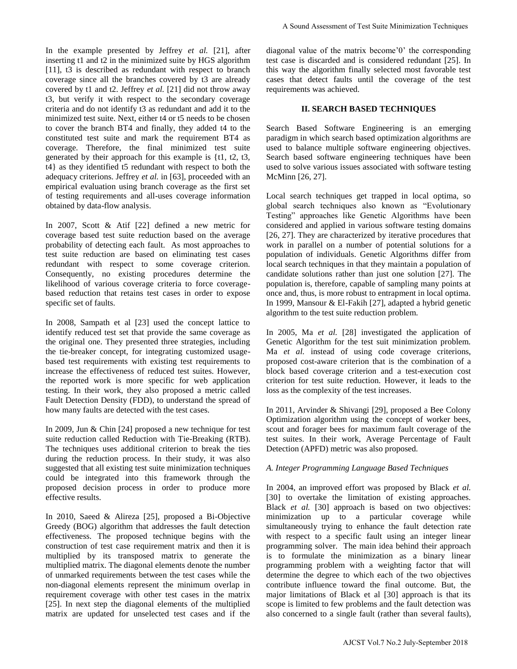In the example presented by Jeffrey *et al.* [21], after inserting t1 and t2 in the minimized suite by HGS algorithm [11], t3 is described as redundant with respect to branch coverage since all the branches covered by t3 are already covered by t1 and t2. Jeffrey *et al.* [21] did not throw away t3, but verify it with respect to the secondary coverage criteria and do not identify t3 as redundant and add it to the minimized test suite. Next, either t4 or t5 needs to be chosen to cover the branch BT4 and finally, they added t4 to the constituted test suite and mark the requirement BT4 as coverage. Therefore, the final minimized test suite generated by their approach for this example is {t1, t2, t3, t4} as they identified t5 redundant with respect to both the adequacy criterions. Jeffrey *et al.* in [63], proceeded with an empirical evaluation using branch coverage as the first set of testing requirements and all-uses coverage information obtained by data-flow analysis.

In 2007, Scott & Atif [22] defined a new metric for coverage based test suite reduction based on the average probability of detecting each fault. As most approaches to test suite reduction are based on eliminating test cases redundant with respect to some coverage criterion. Consequently, no existing procedures determine the likelihood of various coverage criteria to force coveragebased reduction that retains test cases in order to expose specific set of faults.

In 2008, Sampath et al [23] used the concept lattice to identify reduced test set that provide the same coverage as the original one. They presented three strategies, including the tie-breaker concept, for integrating customized usagebased test requirements with existing test requirements to increase the effectiveness of reduced test suites. However, the reported work is more specific for web application testing. In their work, they also proposed a metric called Fault Detection Density (FDD), to understand the spread of how many faults are detected with the test cases.

In 2009, Jun & Chin [24] proposed a new technique for test suite reduction called Reduction with Tie-Breaking (RTB). The techniques uses additional criterion to break the ties during the reduction process. In their study, it was also suggested that all existing test suite minimization techniques could be integrated into this framework through the proposed decision process in order to produce more effective results.

In 2010, Saeed & Alireza [25], proposed a Bi-Objective Greedy (BOG) algorithm that addresses the fault detection effectiveness. The proposed technique begins with the construction of test case requirement matrix and then it is multiplied by its transposed matrix to generate the multiplied matrix. The diagonal elements denote the number of unmarked requirements between the test cases while the non-diagonal elements represent the minimum overlap in requirement coverage with other test cases in the matrix [25]. In next step the diagonal elements of the multiplied matrix are updated for unselected test cases and if the diagonal value of the matrix become'0' the corresponding test case is discarded and is considered redundant [25]. In this way the algorithm finally selected most favorable test cases that detect faults until the coverage of the test requirements was achieved.

## **II. SEARCH BASED TECHNIQUES**

Search Based Software Engineering is an emerging paradigm in which search based optimization algorithms are used to balance multiple software engineering objectives. Search based software engineering techniques have been used to solve various issues associated with software testing McMinn [26, 27].

Local search techniques get trapped in local optima, so global search techniques also known as "Evolutionary Testing" approaches like Genetic Algorithms have been considered and applied in various software testing domains [26, 27]. They are characterized by iterative procedures that work in parallel on a number of potential solutions for a population of individuals. Genetic Algorithms differ from local search techniques in that they maintain a population of candidate solutions rather than just one solution [27]. The population is, therefore, capable of sampling many points at once and, thus, is more robust to entrapment in local optima. In 1999, Mansour & El-Fakih [27], adapted a hybrid genetic algorithm to the test suite reduction problem.

In 2005, Ma *et al.* [28] investigated the application of Genetic Algorithm for the test suit minimization problem. Ma *et al.* instead of using code coverage criterions, proposed cost-aware criterion that is the combination of a block based coverage criterion and a test-execution cost criterion for test suite reduction. However, it leads to the loss as the complexity of the test increases.

In 2011, Arvinder & Shivangi [29], proposed a Bee Colony Optimization algorithm using the concept of worker bees, scout and forager bees for maximum fault coverage of the test suites. In their work, Average Percentage of Fault Detection (APFD) metric was also proposed.

## *A. Integer Programming Language Based Techniques*

In 2004, an improved effort was proposed by Black *et al.*  [30] to overtake the limitation of existing approaches. Black *et al.* [30] approach is based on two objectives: minimization up to a particular coverage while simultaneously trying to enhance the fault detection rate with respect to a specific fault using an integer linear programming solver. The main idea behind their approach is to formulate the minimization as a binary linear programming problem with a weighting factor that will determine the degree to which each of the two objectives contribute influence toward the final outcome. But, the major limitations of Black et al [30] approach is that its scope is limited to few problems and the fault detection was also concerned to a single fault (rather than several faults), A Sound Assessment of Test Suite Minimization Techniques<br>
anal value of the matrix become '0" the corresponding<br>
way its discredib and is considered redundant [25]. The discrete function<br>
avay the algorithm finally select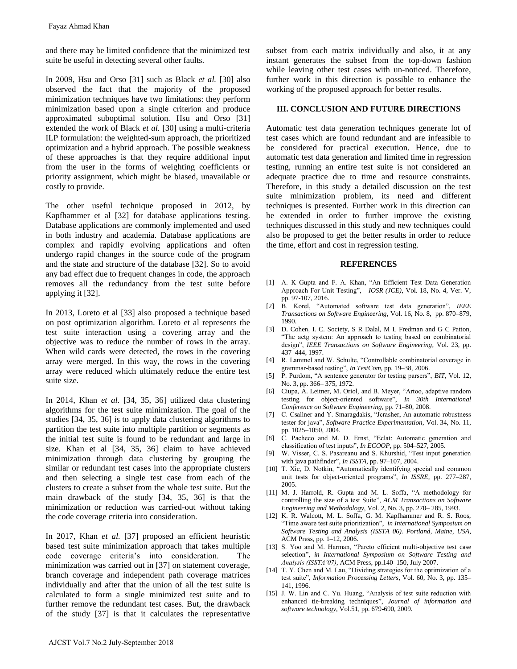and there may be limited confidence that the minimized test suite be useful in detecting several other faults.

In 2009, Hsu and Orso [31] such as Black *et al.* [30] also observed the fact that the majority of the proposed minimization techniques have two limitations: they perform minimization based upon a single criterion and produce approximated suboptimal solution. Hsu and Orso [31] extended the work of Black *et al.* [30] using a multi-criteria ILP formulation: the weighted-sum approach, the prioritized optimization and a hybrid approach. The possible weakness of these approaches is that they require additional input from the user in the forms of weighting coefficients or priority assignment, which might be biased, unavailable or costly to provide.

The other useful technique proposed in 2012, by Kapfhammer et al [32] for database applications testing. Database applications are commonly implemented and used in both industry and academia. Database applications are complex and rapidly evolving applications and often undergo rapid changes in the source code of the program and the state and structure of the database [32]. So to avoid any bad effect due to frequent changes in code, the approach removes all the redundancy from the test suite before applying it [32].

In 2013, Loreto et al [33] also proposed a technique based on post optimization algorithm. Loreto et al represents the test suite interaction using a covering array and the objective was to reduce the number of rows in the array. When wild cards were detected, the rows in the covering array were merged. In this way, the rows in the covering array were reduced which ultimately reduce the entire test suite size.

In 2014, Khan *et al.* [34, 35, 36] utilized data clustering algorithms for the test suite minimization. The goal of the studies [34, 35, 36] is to apply data clustering algorithms to partition the test suite into multiple partition or segments as the initial test suite is found to be redundant and large in size. Khan et al [34, 35, 36] claim to have achieved minimization through data clustering by grouping the similar or redundant test cases into the appropriate clusters and then selecting a single test case from each of the clusters to create a subset from the whole test suite. But the main drawback of the study [34, 35, 36] is that the minimization or reduction was carried-out without taking the code coverage criteria into consideration. Fayaz Ahmad Khan<br>
md there may be limited confidence uite be useful in detecting several oth<br>
n 2009, Hsu and Orso [31] such as<br>
bsserved the fact that the major<br>
minimization techniques have two lim<br>
minimization based u

In 2017, Khan *et al.* [37] proposed an efficient heuristic based test suite minimization approach that takes multiple code coverage criteria's into consideration. The minimization was carried out in [37] on statement coverage, branch coverage and independent path coverage matrices individually and after that the union of all the test suite is calculated to form a single minimized test suite and to further remove the redundant test cases. But, the drawback of the study [37] is that it calculates the representative

subset from each matrix individually and also, it at any instant generates the subset from the top-down fashion while leaving other test cases with un-noticed. Therefore, further work in this direction is possible to enhance the working of the proposed approach for better results.

#### **III. CONCLUSION AND FUTURE DIRECTIONS**

Automatic test data generation techniques generate lot of test cases which are found redundant and are infeasible to be considered for practical execution. Hence, due to automatic test data generation and limited time in regression testing, running an entire test suite is not considered an adequate practice due to time and resource constraints. Therefore, in this study a detailed discussion on the test suite minimization problem, its need and different techniques is presented. Further work in this direction can be extended in order to further improve the existing techniques discussed in this study and new techniques could also be proposed to get the better results in order to reduce the time, effort and cost in regression testing.

#### **REFERENCES**

- [1] A. K Gupta and F. A. Khan, "An Efficient Test Data Generation Approach For Unit Testing", *IOSR (JCE)*, Vol. 18, No. 4, Ver. V, pp. 97-107, 2016.
- [2] B. Korel, "Automated software test data generation", *IEEE Transactions on Software Engineering*, Vol. 16, No. 8, pp. 870–879, 1990.
- [3] D. Cohen, I. C. Society, S R Dalal, M L Fredman and G C Patton, "The aetg system: An approach to testing based on combinatorial design", *IEEE Transactions on Software Engineering*, Vol. 23, pp. 437–444, 1997.
- [4] R. Lammel and W. Schulte, "Controllable combinatorial coverage in grammar-based testing", *In TestCom*, pp. 19–38, 2006.
- [5] P. Purdom, "A sentence generator for testing parsers", *BIT*, Vol. 12, No. 3, pp. 366– 375, 1972.
- [6] Ciupa, A. Leitner, M. Oriol, and B. Meyer, "Artoo, adaptive random testing for object-oriented software", *In 30th International Conference on Software Engineering*, pp. 71–80, 2008.
- [7] C. Csallner and Y. Smaragdakis, "Jcrasher, An automatic robustness tester for java", *Software Practice Experimentation*, Vol. 34, No. 11, pp. 1025–1050, 2004.
- [8] C. Pacheco and M. D. Ernst, "Eclat: Automatic generation and classification of test inputs", *In ECOOP*, pp. 504–527, 2005.
- [9] W. Visser, C. S. Pasareanu and S. Khurshid, "Test input generation with java pathfinder", *In ISSTA*, pp. 97–107, 2004.
- [10] T. Xie, D. Notkin, "Automatically identifying special and common unit tests for object-oriented programs", *In ISSRE*, pp. 277–287, 2005.
- [11] M. J. Harrold, R. Gupta and M. L. Soffa, "A methodology for controlling the size of a test Suite", *ACM Transactions on Software Engineering and Methodology*, Vol. 2, No. 3, pp. 270– 285, 1993.
- [12] K. R. Walcott, M. L. Soffa, G. M. Kapfhammer and R. S. Roos, "Time aware test suite prioritization", *in International Symposium on Software Testing and Analysis (ISSTA 06). Portland, Maine, USA*, ACM Press, pp. 1–12, 2006.
- [13] S. Yoo and M. Harman, "Pareto efficient multi-objective test case selection", *in International Symposium on Software Testing and Analysis (ISSTA'07)*, ACM Press, pp.140–150, July 2007.
- [14] T. Y. Chen and M. Lau, "Dividing strategies for the optimization of a test suite", *Information Processing Letters*, Vol. 60, No. 3, pp. 135– 141*,* 1996.
- [15] J. W. Lin and C. Yu. Huang, "Analysis of test suite reduction with enhanced tie-breaking techniques", *Journal of information and software technology*, Vol.51, pp. 679-690, 2009.